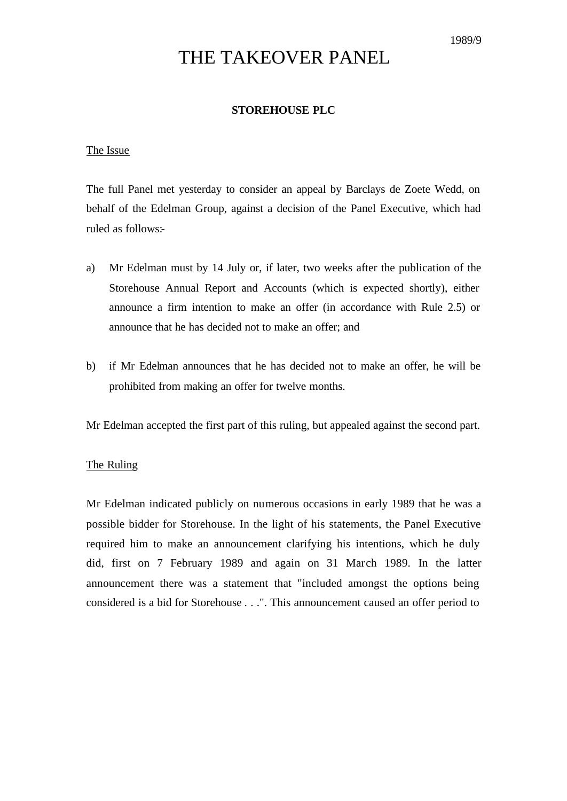# THE TAKEOVER PANEL

## **STOREHOUSE PLC**

#### The Issue

The full Panel met yesterday to consider an appeal by Barclays de Zoete Wedd, on behalf of the Edelman Group, against a decision of the Panel Executive, which had ruled as follows:-

- a) Mr Edelman must by 14 July or, if later, two weeks after the publication of the Storehouse Annual Report and Accounts (which is expected shortly), either announce a firm intention to make an offer (in accordance with Rule 2.5) or announce that he has decided not to make an offer; and
- b) if Mr Edelman announces that he has decided not to make an offer, he will be prohibited from making an offer for twelve months.

Mr Edelman accepted the first part of this ruling, but appealed against the second part.

### The Ruling

Mr Edelman indicated publicly on numerous occasions in early 1989 that he was a possible bidder for Storehouse. In the light of his statements, the Panel Executive required him to make an announcement clarifying his intentions, which he duly did, first on 7 February 1989 and again on 31 March 1989. In the latter announcement there was a statement that "included amongst the options being considered is a bid for Storehouse . . .". This announcement caused an offer period to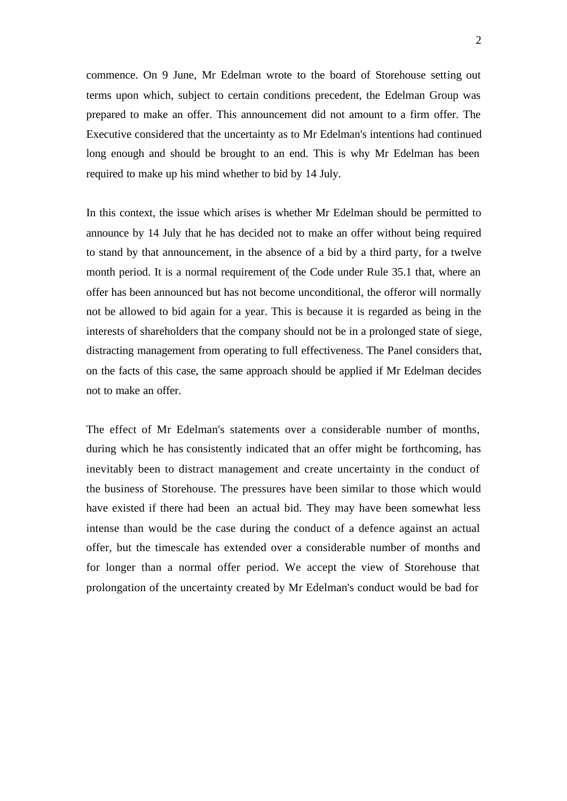commence. On 9 June, Mr Edelman wrote to the board of Storehouse setting out terms upon which, subject to certain conditions precedent, the Edelman Group was prepared to make an offer. This announcement did not amount to a firm offer. The Executive considered that the uncertainty as to Mr Edelman's intentions had continued long enough and should be brought to an end. This is why Mr Edelman has been required to make up his mind whether to bid by 14 July.

In this context, the issue which arises is whether Mr Edelman should be permitted to announce by 14 July that he has decided not to make an offer without being required to stand by that announcement, in the absence of a bid by a third party, for a twelve month period. It is a normal requirement of the Code under Rule 35.1 that, where an offer has been announced but has not become unconditional, the offeror will normally not be allowed to bid again for a year. This is because it is regarded as being in the interests of shareholders that the company should not be in a prolonged state of siege, distracting management from operating to full effectiveness. The Panel considers that, on the facts of this case, the same approach should be applied if Mr Edelman decides not to make an offer.

The effect of Mr Edelman's statements over a considerable number of months, during which he has consistently indicated that an offer might be forthcoming, has inevitably been to distract management and create uncertainty in the conduct of the business of Storehouse. The pressures have been similar to those which would have existed if there had been an actual bid. They may have been somewhat less intense than would be the case during the conduct of a defence against an actual offer, but the timescale has extended over a considerable number of months and for longer than a normal offer period. We accept the view of Storehouse that prolongation of the uncertainty created by Mr Edelman's conduct would be bad for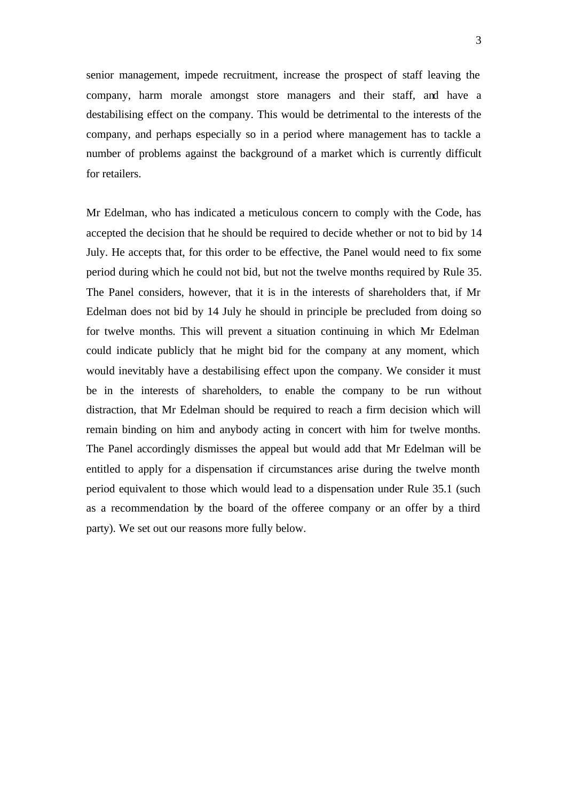senior management, impede recruitment, increase the prospect of staff leaving the company, harm morale amongst store managers and their staff, and have a destabilising effect on the company. This would be detrimental to the interests of the company, and perhaps especially so in a period where management has to tackle a number of problems against the background of a market which is currently difficult for retailers.

Mr Edelman, who has indicated a meticulous concern to comply with the Code, has accepted the decision that he should be required to decide whether or not to bid by 14 July. He accepts that, for this order to be effective, the Panel would need to fix some period during which he could not bid, but not the twelve months required by Rule 35. The Panel considers, however, that it is in the interests of shareholders that, if Mr Edelman does not bid by 14 July he should in principle be precluded from doing so for twelve months. This will prevent a situation continuing in which Mr Edelman could indicate publicly that he might bid for the company at any moment, which would inevitably have a destabilising effect upon the company. We consider it must be in the interests of shareholders, to enable the company to be run without distraction, that Mr Edelman should be required to reach a firm decision which will remain binding on him and anybody acting in concert with him for twelve months. The Panel accordingly dismisses the appeal but would add that Mr Edelman will be entitled to apply for a dispensation if circumstances arise during the twelve month period equivalent to those which would lead to a dispensation under Rule 35.1 (such as a recommendation by the board of the offeree company or an offer by a third party). We set out our reasons more fully below.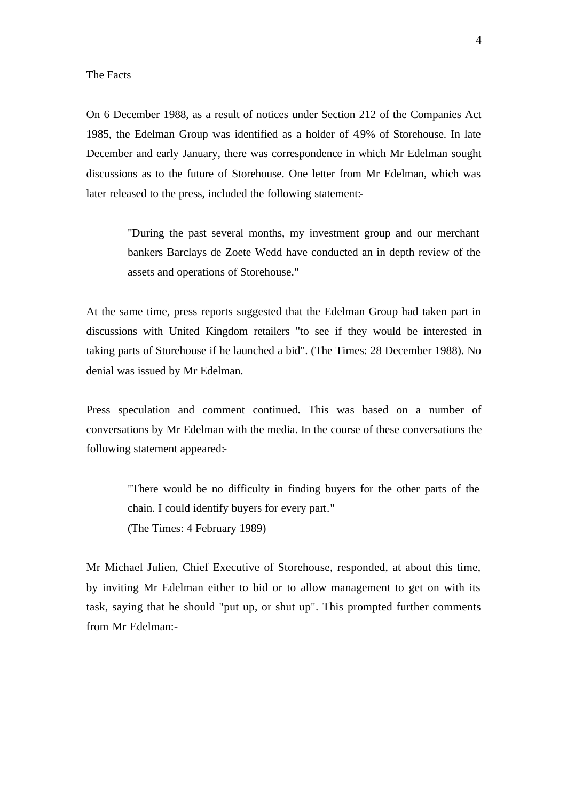#### The Facts

On 6 December 1988, as a result of notices under Section 212 of the Companies Act 1985, the Edelman Group was identified as a holder of 4.9% of Storehouse. In late December and early January, there was correspondence in which Mr Edelman sought discussions as to the future of Storehouse. One letter from Mr Edelman, which was later released to the press, included the following statement:-

> "During the past several months, my investment group and our merchant bankers Barclays de Zoete Wedd have conducted an in depth review of the assets and operations of Storehouse."

At the same time, press reports suggested that the Edelman Group had taken part in discussions with United Kingdom retailers "to see if they would be interested in taking parts of Storehouse if he launched a bid". (The Times: 28 December 1988). No denial was issued by Mr Edelman.

Press speculation and comment continued. This was based on a number of conversations by Mr Edelman with the media. In the course of these conversations the following statement appeared:-

> "There would be no difficulty in finding buyers for the other parts of the chain. I could identify buyers for every part." (The Times: 4 February 1989)

Mr Michael Julien, Chief Executive of Storehouse, responded, at about this time, by inviting Mr Edelman either to bid or to allow management to get on with its task, saying that he should "put up, or shut up". This prompted further comments from Mr Edelman:-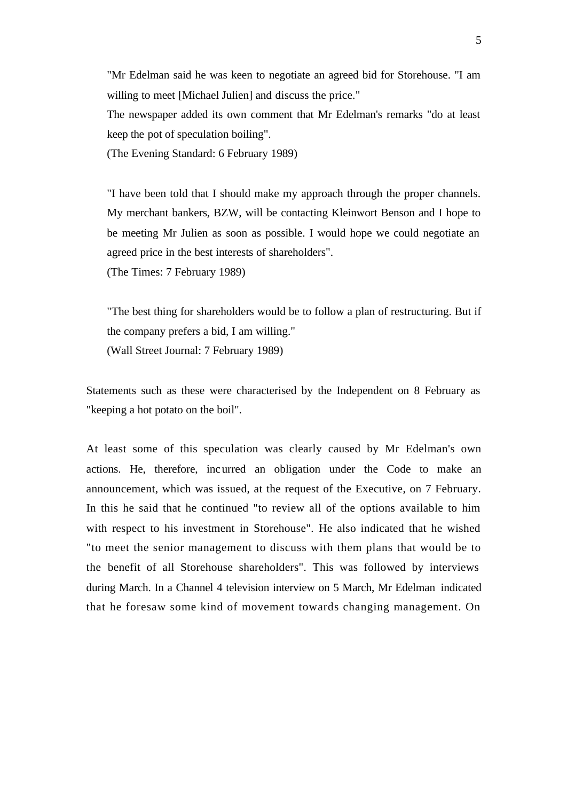"Mr Edelman said he was keen to negotiate an agreed bid for Storehouse. "I am willing to meet [Michael Julien] and discuss the price."

The newspaper added its own comment that Mr Edelman's remarks "do at least keep the pot of speculation boiling".

(The Evening Standard: 6 February 1989)

"I have been told that I should make my approach through the proper channels. My merchant bankers, BZW, will be contacting Kleinwort Benson and I hope to be meeting Mr Julien as soon as possible. I would hope we could negotiate an agreed price in the best interests of shareholders".

(The Times: 7 February 1989)

"The best thing for shareholders would be to follow a plan of restructuring. But if the company prefers a bid, I am willing." (Wall Street Journal: 7 February 1989)

Statements such as these were characterised by the Independent on 8 February as "keeping a hot potato on the boil".

At least some of this speculation was clearly caused by Mr Edelman's own actions. He, therefore, incurred an obligation under the Code to make an announcement, which was issued, at the request of the Executive, on 7 February. In this he said that he continued "to review all of the options available to him with respect to his investment in Storehouse". He also indicated that he wished "to meet the senior management to discuss with them plans that would be to the benefit of all Storehouse shareholders". This was followed by interviews during March. In a Channel 4 television interview on 5 March, Mr Edelman indicated that he foresaw some kind of movement towards changing management. On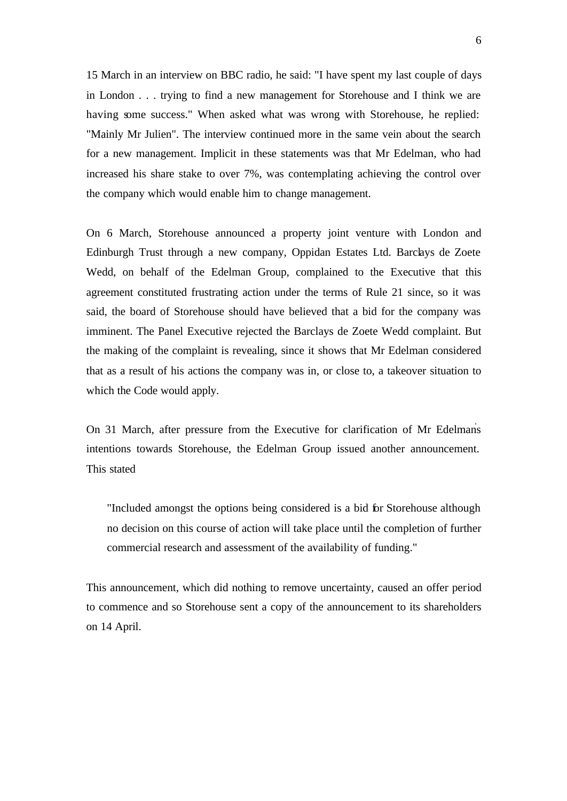15 March in an interview on BBC radio, he said: "I have spent my last couple of days in London . . . trying to find a new management for Storehouse and I think we are having some success." When asked what was wrong with Storehouse, he replied: "Mainly Mr Julien". The interview continued more in the same vein about the search for a new management. Implicit in these statements was that Mr Edelman, who had increased his share stake to over 7%, was contemplating achieving the control over the company which would enable him to change management.

On 6 March, Storehouse announced a property joint venture with London and Edinburgh Trust through a new company, Oppidan Estates Ltd. Barclays de Zoete Wedd, on behalf of the Edelman Group, complained to the Executive that this agreement constituted frustrating action under the terms of Rule 21 since, so it was said, the board of Storehouse should have believed that a bid for the company was imminent. The Panel Executive rejected the Barclays de Zoete Wedd complaint. But the making of the complaint is revealing, since it shows that Mr Edelman considered that as a result of his actions the company was in, or close to, a takeover situation to which the Code would apply.

On 31 March, after pressure from the Executive for clarification of Mr Edelmans intentions towards Storehouse, the Edelman Group issued another announcement. This stated

"Included amongst the options being considered is a bid for Storehouse although no decision on this course of action will take place until the completion of further commercial research and assessment of the availability of funding."

This announcement, which did nothing to remove uncertainty, caused an offer period to commence and so Storehouse sent a copy of the announcement to its shareholders on 14 April.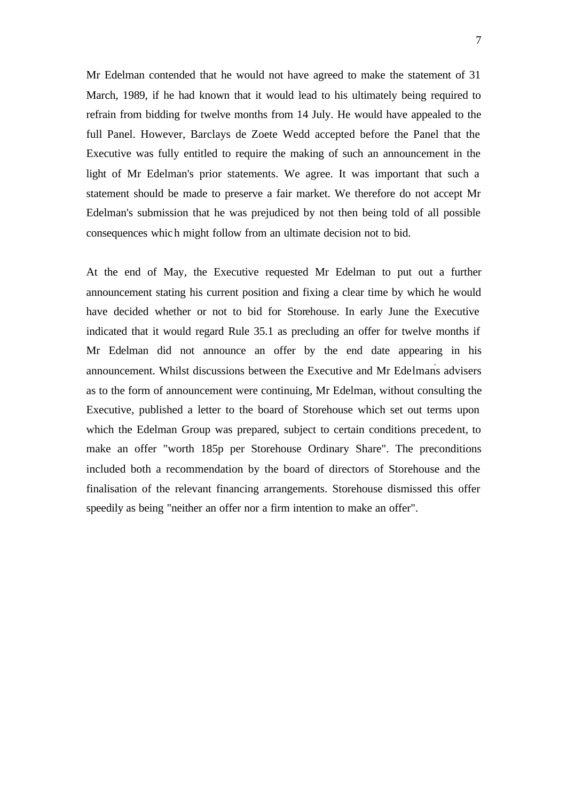Mr Edelman contended that he would not have agreed to make the statement of 31 March, 1989, if he had known that it would lead to his ultimately being required to refrain from bidding for twelve months from 14 July. He would have appealed to the full Panel. However, Barclays de Zoete Wedd accepted before the Panel that the Executive was fully entitled to require the making of such an announcement in the light of Mr Edelman's prior statements. We agree. It was important that such a statement should be made to preserve a fair market. We therefore do not accept Mr Edelman's submission that he was prejudiced by not then being told of all possible consequences which might follow from an ultimate decision not to bid.

At the end of May, the Executive requested Mr Edelman to put out a further announcement stating his current position and fixing a clear time by which he would have decided whether or not to bid for Storehouse. In early June the Executive indicated that it would regard Rule 35.1 as precluding an offer for twelve months if Mr Edelman did not announce an offer by the end date appearing in his announcement. Whilst discussions between the Executive and Mr Edelman' s advisers as to the form of announcement were continuing, Mr Edelman, without consulting the Executive, published a letter to the board of Storehouse which set out terms upon which the Edelman Group was prepared, subject to certain conditions precedent, to make an offer "worth 185p per Storehouse Ordinary Share". The preconditions included both a recommendation by the board of directors of Storehouse and the finalisation of the relevant financing arrangements. Storehouse dismissed this offer speedily as being "neither an offer nor a firm intention to make an offer".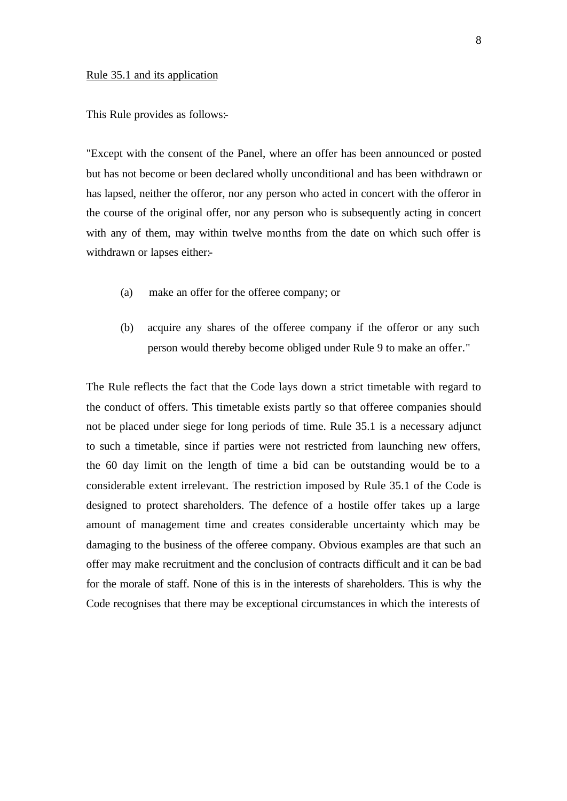#### Rule 35.1 and its application

This Rule provides as follows:-

"Except with the consent of the Panel, where an offer has been announced or posted but has not become or been declared wholly unconditional and has been withdrawn or has lapsed, neither the offeror, nor any person who acted in concert with the offeror in the course of the original offer, nor any person who is subsequently acting in concert with any of them, may within twelve months from the date on which such offer is withdrawn or lapses either:-

- (a) make an offer for the offeree company; or
- (b) acquire any shares of the offeree company if the offeror or any such person would thereby become obliged under Rule 9 to make an offer."

The Rule reflects the fact that the Code lays down a strict timetable with regard to the conduct of offers. This timetable exists partly so that offeree companies should not be placed under siege for long periods of time. Rule 35.1 is a necessary adjunct to such a timetable, since if parties were not restricted from launching new offers, the 60 day limit on the length of time a bid can be outstanding would be to a considerable extent irrelevant. The restriction imposed by Rule 35.1 of the Code is designed to protect shareholders. The defence of a hostile offer takes up a large amount of management time and creates considerable uncertainty which may be damaging to the business of the offeree company. Obvious examples are that such an offer may make recruitment and the conclusion of contracts difficult and it can be bad for the morale of staff. None of this is in the interests of shareholders. This is why the Code recognises that there may be exceptional circumstances in which the interests of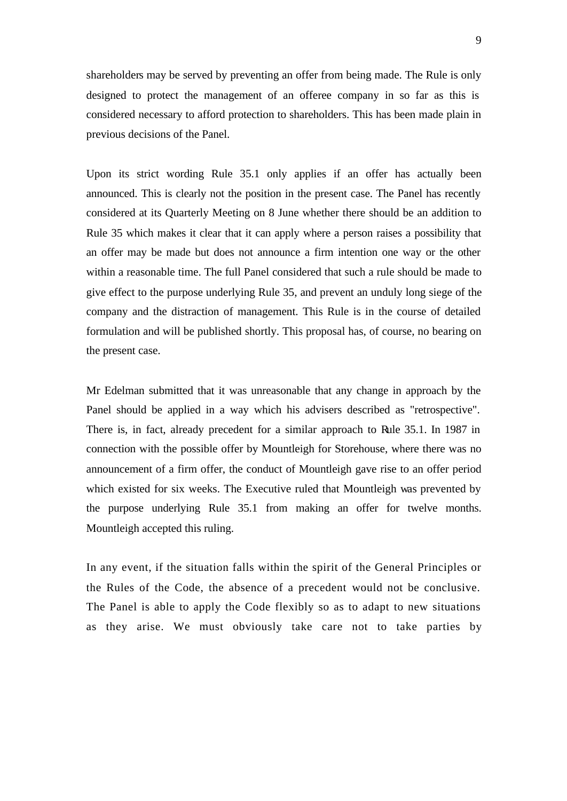shareholders may be served by preventing an offer from being made. The Rule is only designed to protect the management of an offeree company in so far as this is considered necessary to afford protection to shareholders. This has been made plain in previous decisions of the Panel.

Upon its strict wording Rule 35.1 only applies if an offer has actually been announced. This is clearly not the position in the present case. The Panel has recently considered at its Quarterly Meeting on 8 June whether there should be an addition to Rule 35 which makes it clear that it can apply where a person raises a possibility that an offer may be made but does not announce a firm intention one way or the other within a reasonable time. The full Panel considered that such a rule should be made to give effect to the purpose underlying Rule 35, and prevent an unduly long siege of the company and the distraction of management. This Rule is in the course of detailed formulation and will be published shortly. This proposal has, of course, no bearing on the present case.

Mr Edelman submitted that it was unreasonable that any change in approach by the Panel should be applied in a way which his advisers described as "retrospective". There is, in fact, already precedent for a similar approach to Rule 35.1. In 1987 in connection with the possible offer by Mountleigh for Storehouse, where there was no announcement of a firm offer, the conduct of Mountleigh gave rise to an offer period which existed for six weeks. The Executive ruled that Mountleigh was prevented by the purpose underlying Rule 35.1 from making an offer for twelve months. Mountleigh accepted this ruling.

In any event, if the situation falls within the spirit of the General Principles or the Rules of the Code, the absence of a precedent would not be conclusive. The Panel is able to apply the Code flexibly so as to adapt to new situations as they arise. We must obviously take care not to take parties by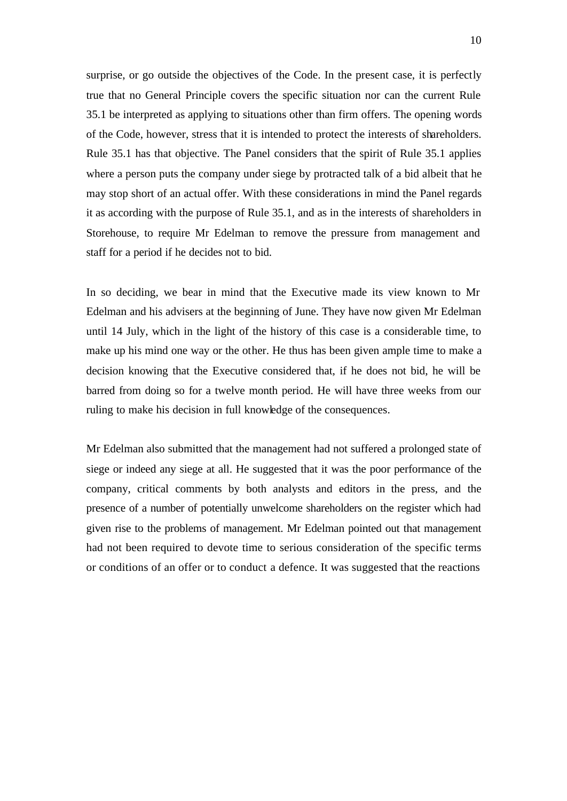surprise, or go outside the objectives of the Code. In the present case, it is perfectly true that no General Principle covers the specific situation nor can the current Rule 35.1 be interpreted as applying to situations other than firm offers. The opening words of the Code, however, stress that it is intended to protect the interests of shareholders. Rule 35.1 has that objective. The Panel considers that the spirit of Rule 35.1 applies where a person puts the company under siege by protracted talk of a bid albeit that he may stop short of an actual offer. With these considerations in mind the Panel regards it as according with the purpose of Rule 35.1, and as in the interests of shareholders in Storehouse, to require Mr Edelman to remove the pressure from management and staff for a period if he decides not to bid.

In so deciding, we bear in mind that the Executive made its view known to Mr Edelman and his advisers at the beginning of June. They have now given Mr Edelman until 14 July, which in the light of the history of this case is a considerable time, to make up his mind one way or the other. He thus has been given ample time to make a decision knowing that the Executive considered that, if he does not bid, he will be barred from doing so for a twelve month period. He will have three weeks from our ruling to make his decision in full knowledge of the consequences.

Mr Edelman also submitted that the management had not suffered a prolonged state of siege or indeed any siege at all. He suggested that it was the poor performance of the company, critical comments by both analysts and editors in the press, and the presence of a number of potentially unwelcome shareholders on the register which had given rise to the problems of management. Mr Edelman pointed out that management had not been required to devote time to serious consideration of the specific terms or conditions of an offer or to conduct a defence. It was suggested that the reactions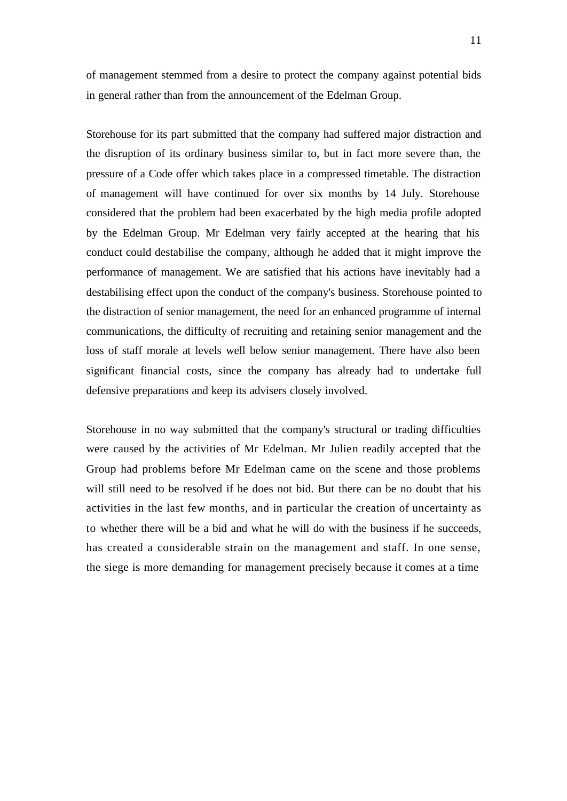of management stemmed from a desire to protect the company against potential bids in general rather than from the announcement of the Edelman Group.

Storehouse for its part submitted that the company had suffered major distraction and the disruption of its ordinary business similar to, but in fact more severe than, the pressure of a Code offer which takes place in a compressed timetable. The distraction of management will have continued for over six months by 14 July. Storehouse considered that the problem had been exacerbated by the high media profile adopted by the Edelman Group. Mr Edelman very fairly accepted at the hearing that his conduct could destabilise the company, although he added that it might improve the performance of management. We are satisfied that his actions have inevitably had a destabilising effect upon the conduct of the company's business. Storehouse pointed to the distraction of senior management, the need for an enhanced programme of internal communications, the difficulty of recruiting and retaining senior management and the loss of staff morale at levels well below senior management. There have also been significant financial costs, since the company has already had to undertake full defensive preparations and keep its advisers closely involved.

Storehouse in no way submitted that the company's structural or trading difficulties were caused by the activities of Mr Edelman. Mr Julien readily accepted that the Group had problems before Mr Edelman came on the scene and those problems will still need to be resolved if he does not bid. But there can be no doubt that his activities in the last few months, and in particular the creation of uncertainty as to whether there will be a bid and what he will do with the business if he succeeds, has created a considerable strain on the management and staff. In one sense, the siege is more demanding for management precisely because it comes at a time